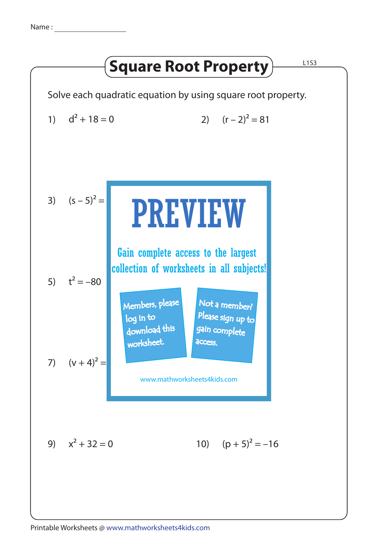